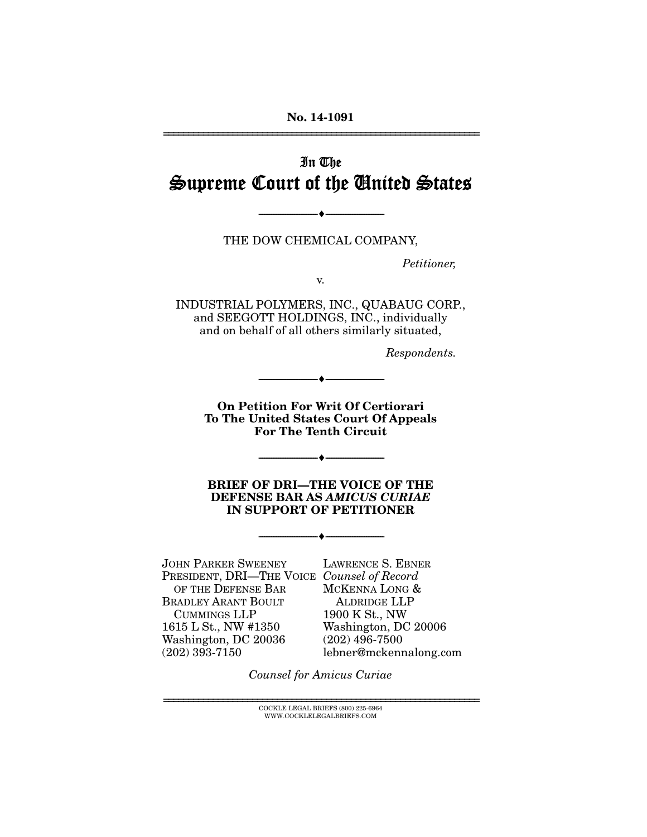# In The Supreme Court of the United States

THE DOW CHEMICAL COMPANY,

--------------------------------- ---------------------------------

*Petitioner,* 

v.

INDUSTRIAL POLYMERS, INC., QUABAUG CORP., and SEEGOTT HOLDINGS, INC., individually and on behalf of all others similarly situated,

*Respondents.* 

**On Petition For Writ Of Certiorari To The United States Court Of Appeals For The Tenth Circuit** 

 $- \bullet -$ 

--------------------------------- ---------------------------------

**BRIEF OF DRI—THE VOICE OF THE DEFENSE BAR AS** *AMICUS CURIAE* **IN SUPPORT OF PETITIONER** 

--------------------------------- ---------------------------------

JOHN PARKER SWEENEY PRESIDENT, DRI—THE VOICE *Counsel of Record* OF THE DEFENSE BAR BRADLEY ARANT BOULT CUMMINGS LLP 1615 L St., NW #1350 Washington, DC 20036  $(202)$  393-7150

LAWRENCE S. EBNER MCKENNA LONG & ALDRIDGE LLP 1900 K St., NW Washington, DC 20006 (202) 496-7500 lebner@mckennalong.com

*Counsel for Amicus Curiae* 

 ${\rm COCKLE}$ LEGAL BRIEFS $(800)$ 225-6964 WWW.COCKLELEGALBRIEFS.COM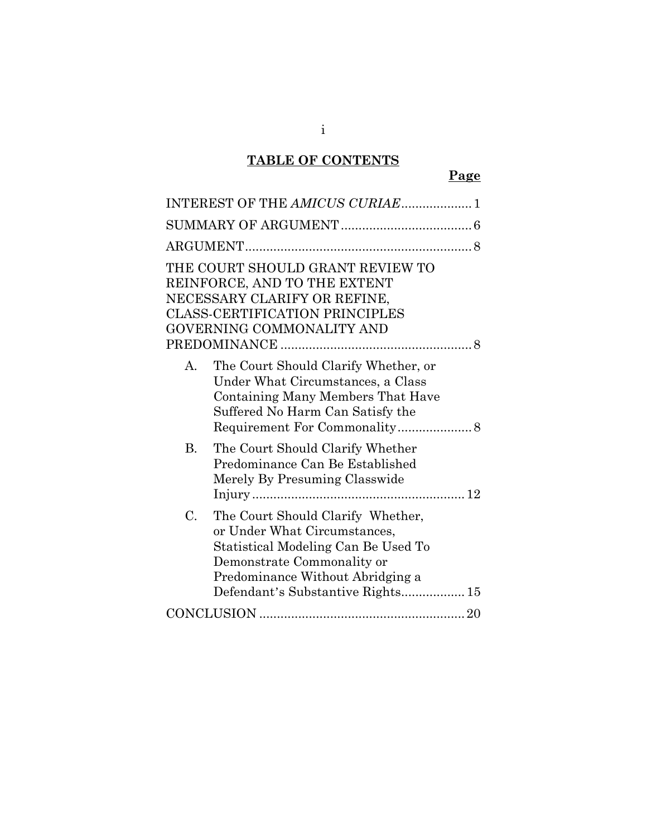## **TABLE OF CONTENTS**

|             | INTEREST OF THE AMICUS CURIAE 1                                                                                                                                                                                 |
|-------------|-----------------------------------------------------------------------------------------------------------------------------------------------------------------------------------------------------------------|
|             |                                                                                                                                                                                                                 |
|             |                                                                                                                                                                                                                 |
|             | THE COURT SHOULD GRANT REVIEW TO<br>REINFORCE, AND TO THE EXTENT<br>NECESSARY CLARIFY OR REFINE,<br><b>CLASS-CERTIFICATION PRINCIPLES</b><br>GOVERNING COMMONALITY AND                                          |
| A.          | The Court Should Clarify Whether, or<br>Under What Circumstances, a Class<br>Containing Many Members That Have<br>Suffered No Harm Can Satisfy the                                                              |
| В.          | The Court Should Clarify Whether<br>Predominance Can Be Established<br>Merely By Presuming Classwide                                                                                                            |
| $C_{\cdot}$ | The Court Should Clarify Whether,<br>or Under What Circumstances,<br>Statistical Modeling Can Be Used To<br>Demonstrate Commonality or<br>Predominance Without Abridging a<br>Defendant's Substantive Rights 15 |
|             |                                                                                                                                                                                                                 |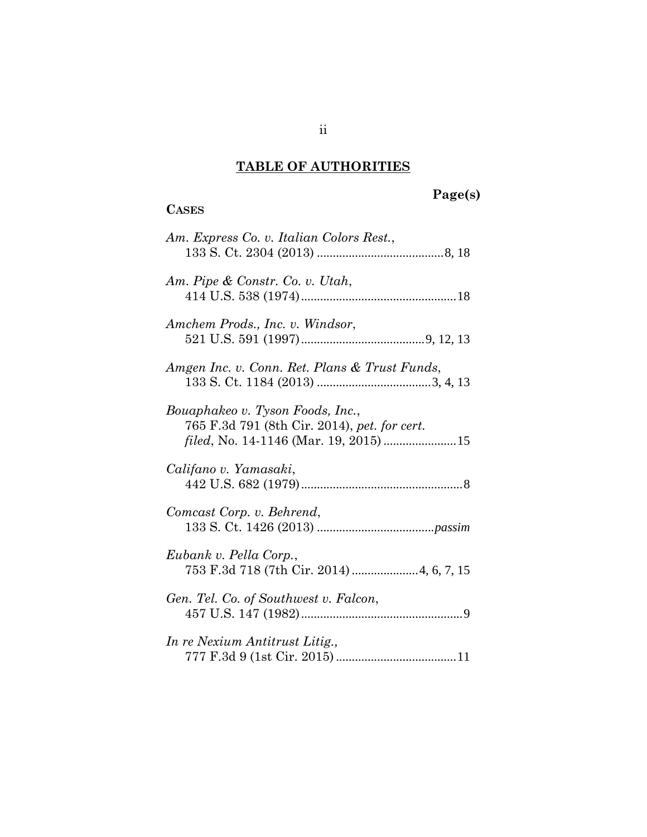# **TABLE OF AUTHORITIES**

## **CASES**

# **Page(s)**

| Am. Express Co. v. Italian Colors Rest.,                                         |
|----------------------------------------------------------------------------------|
| Am. Pipe & Constr. Co. v. Utah,                                                  |
| Amchem Prods., Inc. v. Windsor,                                                  |
| Amgen Inc. v. Conn. Ret. Plans & Trust Funds,                                    |
| Bouaphakeo v. Tyson Foods, Inc.,<br>765 F.3d 791 (8th Cir. 2014), pet. for cert. |
| Califano v. Yamasaki,                                                            |
| Comcast Corp. v. Behrend,                                                        |
| Eubank v. Pella Corp.,                                                           |
| Gen. Tel. Co. of Southwest v. Falcon,                                            |
| In re Nexium Antitrust Litig.,                                                   |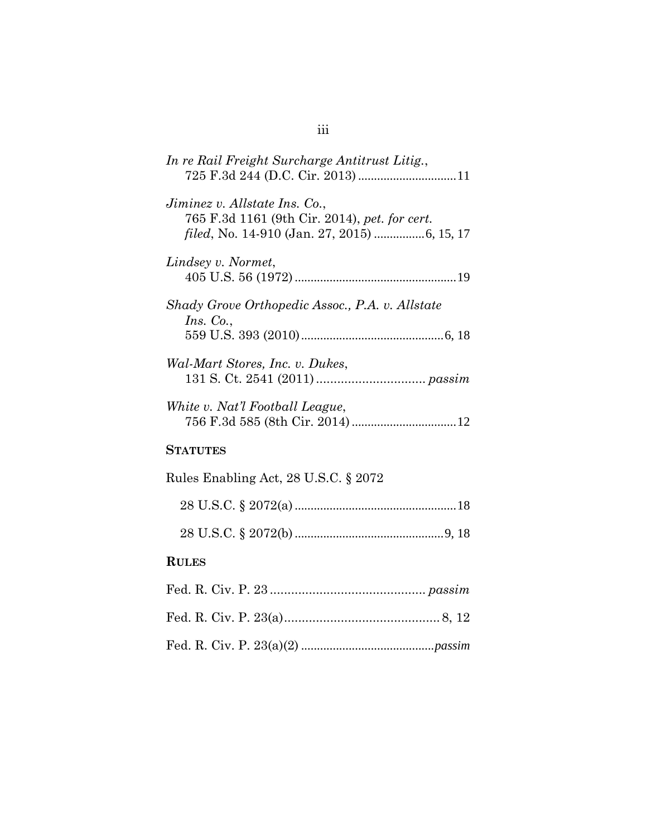| In re Rail Freight Surcharge Antitrust Litig.,                                 |
|--------------------------------------------------------------------------------|
| Jiminez v. Allstate Ins. Co.,<br>765 F.3d 1161 (9th Cir. 2014), pet. for cert. |
| Lindsey v. Normet,                                                             |
| Shady Grove Orthopedic Assoc., P.A. v. Allstate<br>Ins. Co.,                   |
| Wal-Mart Stores, Inc. v. Dukes,                                                |
| White v. Nat'l Football League,                                                |
| <b>STATUTES</b>                                                                |
| Rules Enabling Act, 28 U.S.C. § 2072                                           |
|                                                                                |
|                                                                                |
| <b>RULES</b>                                                                   |
|                                                                                |
|                                                                                |
|                                                                                |

## iii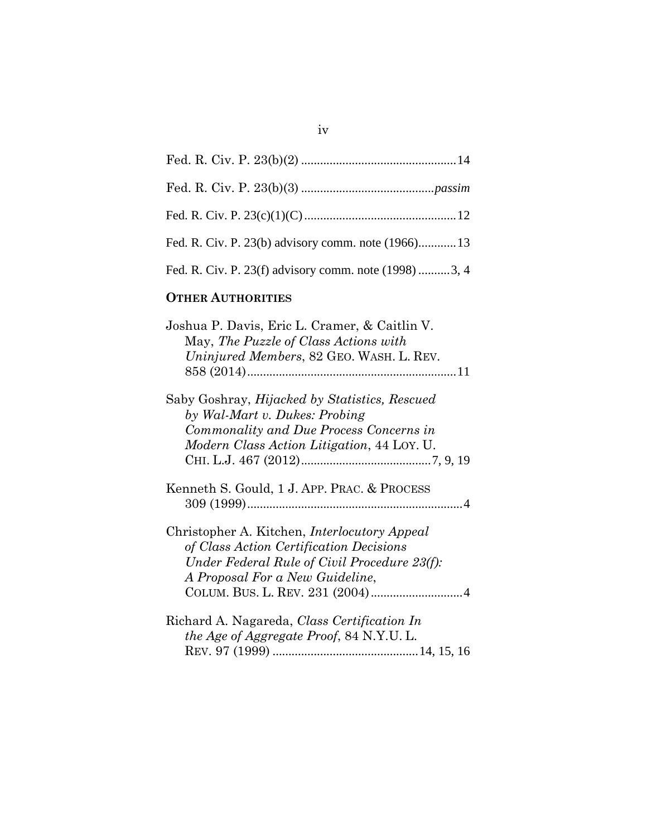| Fed. R. Civ. P. 23(b) advisory comm. note (1966)13    |  |
|-------------------------------------------------------|--|
| Fed. R. Civ. P. 23(f) advisory comm. note (1998) 3, 4 |  |

## **OTHER AUTHORITIES**

| Joshua P. Davis, Eric L. Cramer, & Caitlin V.<br>May, The Puzzle of Class Actions with<br>Uninjured Members, 82 GEO. WASH. L. REV.                                                |
|-----------------------------------------------------------------------------------------------------------------------------------------------------------------------------------|
| Saby Goshray, Hijacked by Statistics, Rescued<br>by Wal-Mart v. Dukes: Probing<br>Commonality and Due Process Concerns in<br>Modern Class Action Litigation, 44 LOY. U.           |
| Kenneth S. Gould, 1 J. APP. PRAC. & PROCESS                                                                                                                                       |
| Christopher A. Kitchen, <i>Interlocutory Appeal</i><br>of Class Action Certification Decisions<br>Under Federal Rule of Civil Procedure 23(f):<br>A Proposal For a New Guideline, |
| Richard A. Nagareda, Class Certification In<br>the Age of Aggregate Proof, 84 N.Y.U.L.                                                                                            |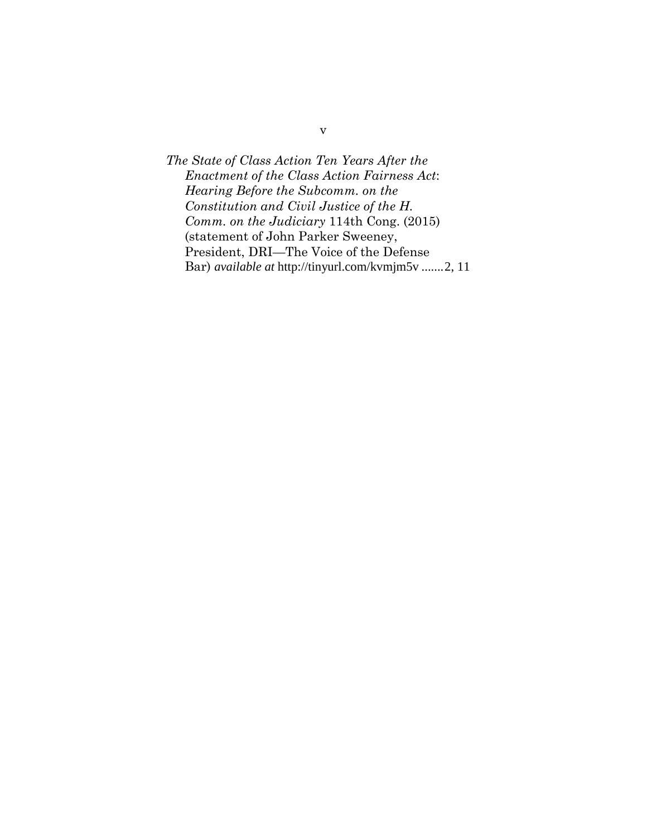*The State of Class Action Ten Years After the Enactment of the Class Action Fairness Act*: *Hearing Before the Subcomm. on the Constitution and Civil Justice of the H. Comm. on the Judiciary* 114th Cong. (2015) (statement of John Parker Sweeney, President, DRI—The Voice of the Defense Bar) *available at* http://tinyurl.com/kvmjm5v.......[2,](#page-7-0) 11

v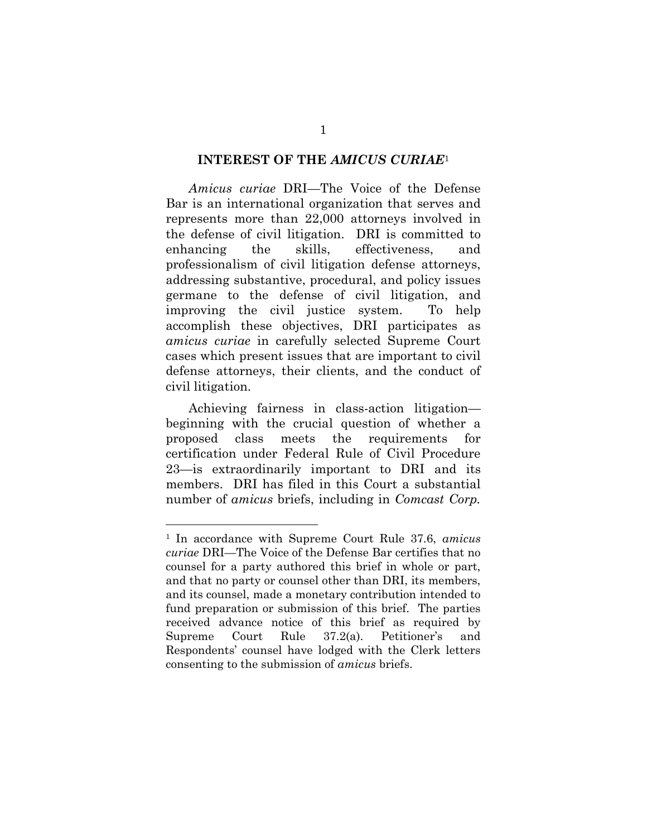#### <span id="page-6-0"></span>**INTEREST OF THE** *AMICUS CURIAE*[1](#page-6-1)

*Amicus curiae* DRI—The Voice of the Defense Bar is an international organization that serves and represents more than 22,000 attorneys involved in the defense of civil litigation. DRI is committed to enhancing the skills, effectiveness, and professionalism of civil litigation defense attorneys, addressing substantive, procedural, and policy issues germane to the defense of civil litigation, and improving the civil justice system. To help accomplish these objectives, DRI participates as *amicus curiae* in carefully selected Supreme Court cases which present issues that are important to civil defense attorneys, their clients, and the conduct of civil litigation.

Achieving fairness in class-action litigation beginning with the crucial question of whether a proposed class meets the requirements for certification under Federal Rule of Civil Procedure 23—is extraordinarily important to DRI and its members. DRI has filed in this Court a substantial number of *amicus* briefs, including in *Comcast Corp.*

<span id="page-6-1"></span><sup>1</sup> In accordance with Supreme Court Rule 37.6, *amicus curiae* DRI—The Voice of the Defense Bar certifies that no counsel for a party authored this brief in whole or part, and that no party or counsel other than DRI, its members, and its counsel, made a monetary contribution intended to fund preparation or submission of this brief. The parties received advance notice of this brief as required by Supreme Court Rule 37.2(a). Petitioner's and Respondents' counsel have lodged with the Clerk letters consenting to the submission of *amicus* briefs.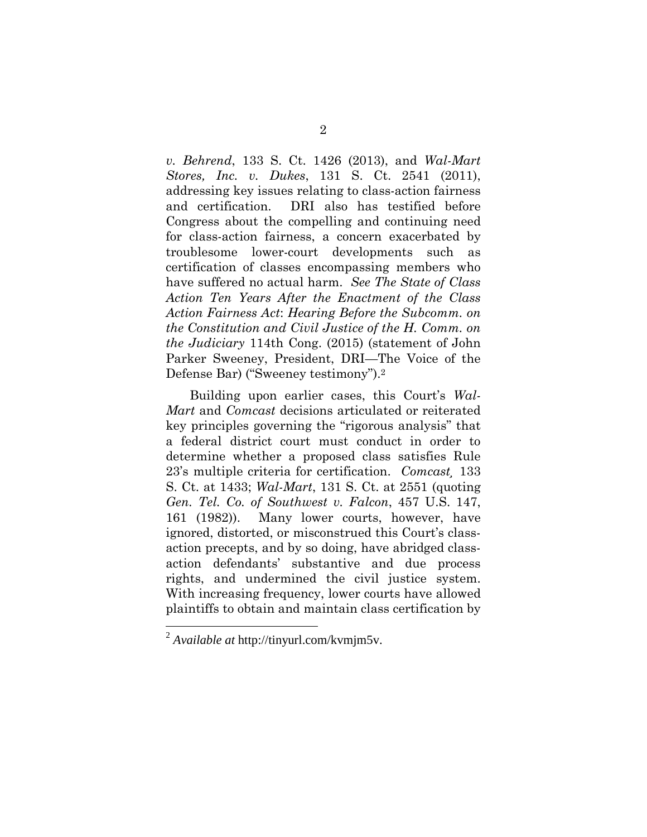<span id="page-7-0"></span>*v. Behrend*, 133 S. Ct. 1426 (2013), and *Wal-Mart Stores, Inc. v. Dukes*, 131 S. Ct. 2541 (2011), addressing key issues relating to class-action fairness and certification. DRI also has testified before Congress about the compelling and continuing need for class-action fairness, a concern exacerbated by troublesome lower-court developments such as certification of classes encompassing members who have suffered no actual harm. *See The State of Class Action Ten Years After the Enactment of the Class Action Fairness Act*: *Hearing Before the Subcomm. on the Constitution and Civil Justice of the H. Comm. on the Judiciary* 114th Cong. (2015) (statement of John Parker Sweeney, President, DRI—The Voice of the Defense Bar) ("Sweeney testimony").[2](#page-7-1)

Building upon earlier cases, this Court's *Wal-Mart* and *Comcast* decisions articulated or reiterated key principles governing the "rigorous analysis" that a federal district court must conduct in order to determine whether a proposed class satisfies Rule 23's multiple criteria for certification. *Comcast¸* 133 S. Ct. at 1433; *Wal-Mart*, 131 S. Ct. at 2551 (quoting *Gen. Tel. Co. of Southwest v. Falcon*, 457 U.S. 147, 161 (1982)). Many lower courts, however, have ignored, distorted, or misconstrued this Court's classaction precepts, and by so doing, have abridged classaction defendants' substantive and due process rights, and undermined the civil justice system. With increasing frequency, lower courts have allowed plaintiffs to obtain and maintain class certification by

<span id="page-7-1"></span><sup>2</sup> *Available at* http://tinyurl.com/kvmjm5v.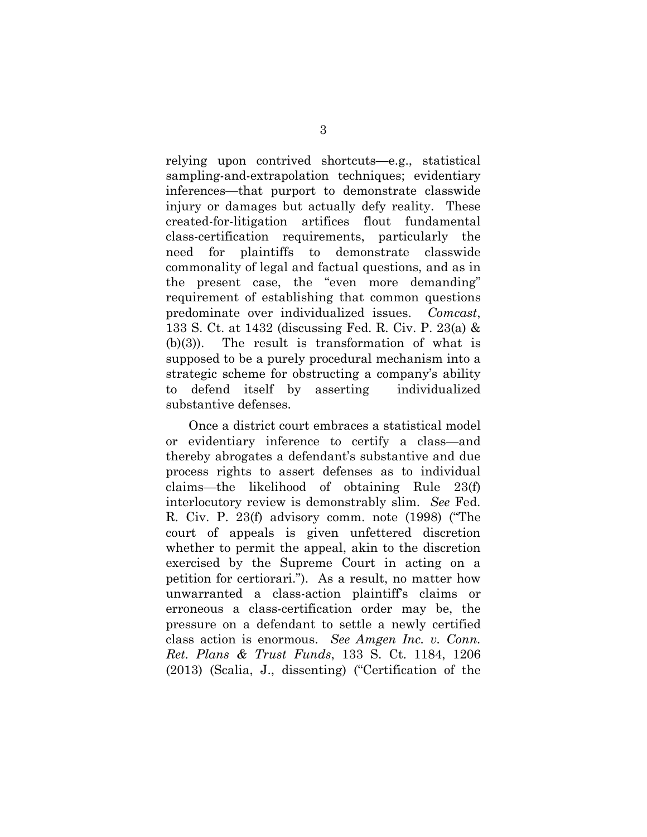relying upon contrived shortcuts—e.g., statistical sampling-and-extrapolation techniques; evidentiary inferences—that purport to demonstrate classwide injury or damages but actually defy reality. These created-for-litigation artifices flout fundamental class-certification requirements, particularly the need for plaintiffs to demonstrate classwide commonality of legal and factual questions, and as in the present case, the "even more demanding" requirement of establishing that common questions predominate over individualized issues. *Comcast*, 133 S. Ct. at 1432 (discussing Fed. R. Civ. P. 23(a) & (b)(3)). The result is transformation of what is supposed to be a purely procedural mechanism into a strategic scheme for obstructing a company's ability to defend itself by asserting individualized substantive defenses.

<span id="page-8-1"></span><span id="page-8-0"></span>Once a district court embraces a statistical model or evidentiary inference to certify a class—and thereby abrogates a defendant's substantive and due process rights to assert defenses as to individual claims—the likelihood of obtaining Rule 23(f) interlocutory review is demonstrably slim. *See* Fed. R. Civ. P. 23(f) advisory comm. note (1998) ("The court of appeals is given unfettered discretion whether to permit the appeal, akin to the discretion exercised by the Supreme Court in acting on a petition for certiorari."). As a result, no matter how unwarranted a class-action plaintiff's claims or erroneous a class-certification order may be, the pressure on a defendant to settle a newly certified class action is enormous. *See Amgen Inc. v. Conn. Ret. Plans & Trust Funds*, 133 S. Ct. 1184, 1206 (2013) (Scalia, J., dissenting) ("Certification of the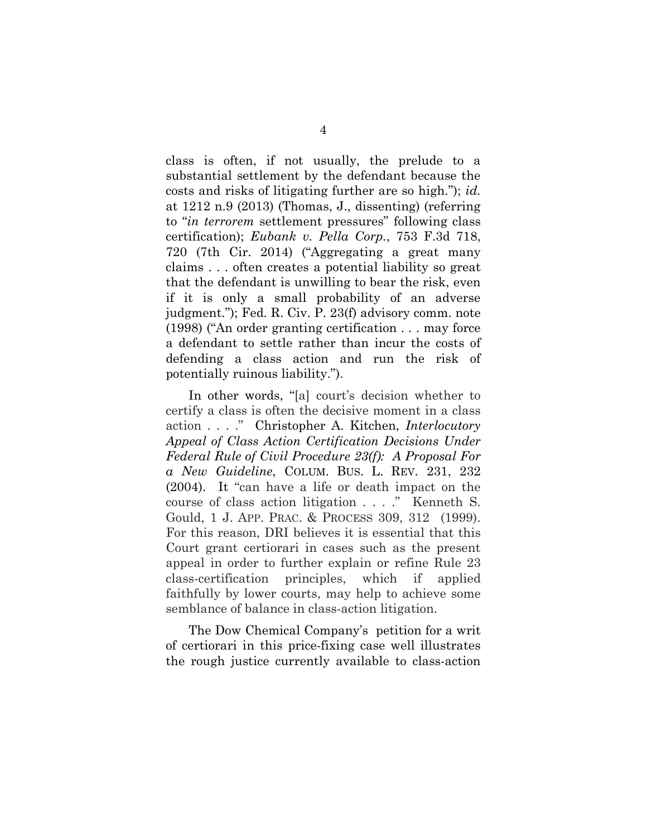<span id="page-9-0"></span>class is often, if not usually, the prelude to a substantial settlement by the defendant because the costs and risks of litigating further are so high."); *id.* at 1212 n.9 (2013) (Thomas, J., dissenting) (referring to "*in terrorem* settlement pressures" following class certification); *Eubank v. Pella Corp.*, 753 F.3d 718, 720 (7th Cir. 2014) ("Aggregating a great many claims . . . often creates a potential liability so great that the defendant is unwilling to bear the risk, even if it is only a small probability of an adverse judgment."); Fed. R. Civ. P. 23(f) advisory comm. note (1998) ("An order granting certification . . . may force a defendant to settle rather than incur the costs of defending a class action and run the risk of potentially ruinous liability.").

<span id="page-9-2"></span><span id="page-9-1"></span>In other words, "[a] court's decision whether to certify a class is often the decisive moment in a class action . . . ." Christopher A. Kitchen, *Interlocutory Appeal of Class Action Certification Decisions Under Federal Rule of Civil Procedure 23(f): A Proposal For a New Guideline*, COLUM. BUS. L. REV. 231, 232 (2004). It "can have a life or death impact on the course of class action litigation . . . ." Kenneth S. Gould, 1 J. APP. PRAC. & PROCESS 309, 312 (1999). For this reason, DRI believes it is essential that this Court grant certiorari in cases such as the present appeal in order to further explain or refine Rule 23 class-certification principles, which if applied faithfully by lower courts, may help to achieve some semblance of balance in class-action litigation.

The Dow Chemical Company's petition for a writ of certiorari in this price-fixing case well illustrates the rough justice currently available to class-action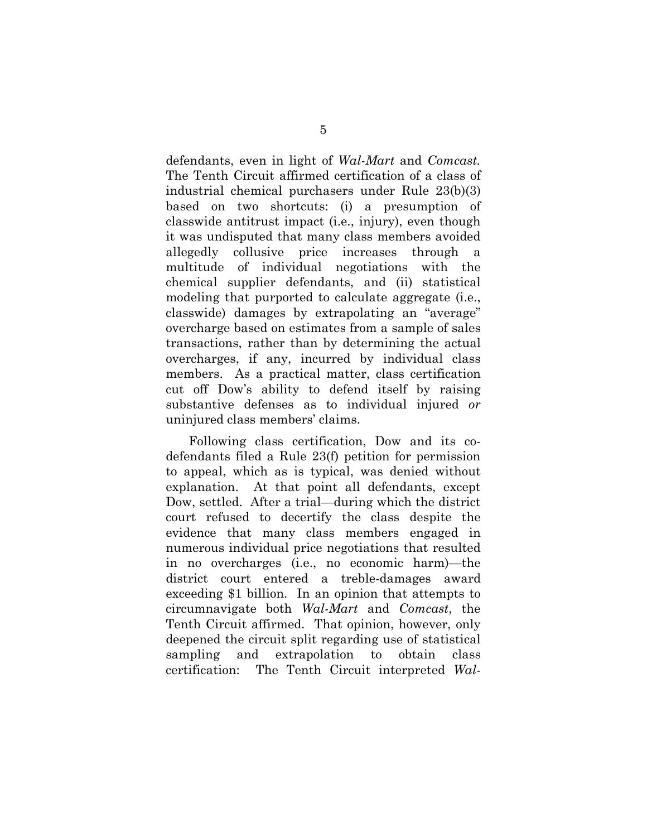defendants, even in light of *Wal-Mart* and *Comcast.* The Tenth Circuit affirmed certification of a class of industrial chemical purchasers under Rule 23(b)(3) based on two shortcuts: (i) a presumption of classwide antitrust impact (i.e., injury), even though it was undisputed that many class members avoided allegedly collusive price increases through a multitude of individual negotiations with the chemical supplier defendants, and (ii) statistical modeling that purported to calculate aggregate (i.e., classwide) damages by extrapolating an "average" overcharge based on estimates from a sample of sales transactions, rather than by determining the actual overcharges, if any, incurred by individual class members. As a practical matter, class certification cut off Dow's ability to defend itself by raising substantive defenses as to individual injured *or* uninjured class members' claims.

Following class certification, Dow and its codefendants filed a Rule 23(f) petition for permission to appeal, which as is typical, was denied without explanation. At that point all defendants, except Dow, settled. After a trial—during which the district court refused to decertify the class despite the evidence that many class members engaged in numerous individual price negotiations that resulted in no overcharges (i.e., no economic harm)—the district court entered a treble-damages award exceeding \$1 billion. In an opinion that attempts to circumnavigate both *Wal-Mart* and *Comcast*, the Tenth Circuit affirmed. That opinion, however, only deepened the circuit split regarding use of statistical sampling and extrapolation to obtain class certification: The Tenth Circuit interpreted *Wal-*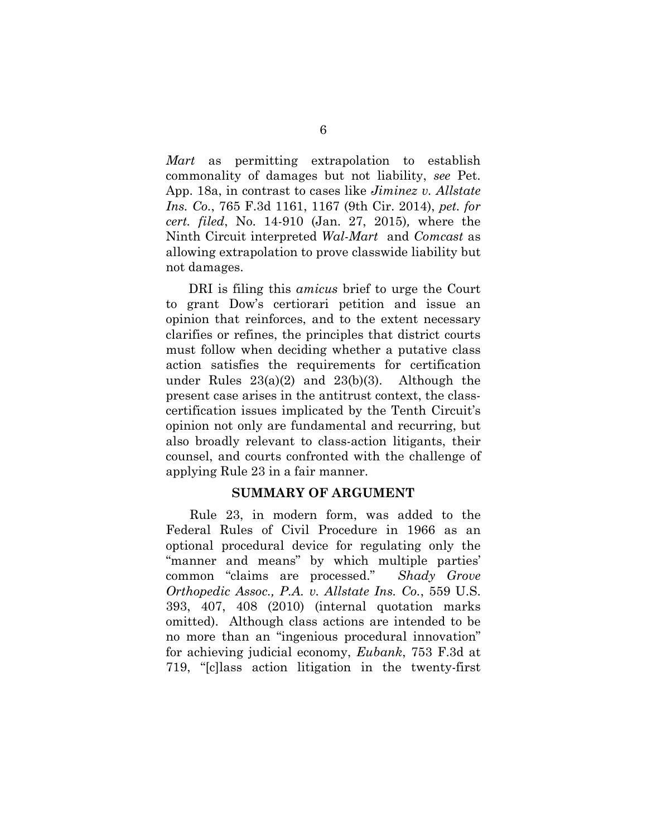*Mart* as permitting extrapolation to establish commonality of damages but not liability, *see* Pet. App. 18a, in contrast to cases like *Jiminez v. Allstate Ins. Co.*, 765 F.3d 1161, 1167 (9th Cir. 2014), *pet. for cert. filed*, No. 14-910 (Jan. 27, 2015)*,* where the Ninth Circuit interpreted *Wal-Mart* and *Comcast* as allowing extrapolation to prove classwide liability but not damages.

DRI is filing this *amicus* brief to urge the Court to grant Dow's certiorari petition and issue an opinion that reinforces, and to the extent necessary clarifies or refines, the principles that district courts must follow when deciding whether a putative class action satisfies the requirements for certification under Rules  $23(a)(2)$  and  $23(b)(3)$ . Although the present case arises in the antitrust context, the classcertification issues implicated by the Tenth Circuit's opinion not only are fundamental and recurring, but also broadly relevant to class-action litigants, their counsel, and courts confronted with the challenge of applying Rule 23 in a fair manner.

#### <span id="page-11-2"></span><span id="page-11-1"></span><span id="page-11-0"></span>**SUMMARY OF ARGUMENT**

Rule 23, in modern form, was added to the Federal Rules of Civil Procedure in 1966 as an optional procedural device for regulating only the "manner and means" by which multiple parties' common "claims are processed." *Shady Grove Orthopedic Assoc., P.A. v. Allstate Ins. Co.*, 559 U.S. 393, 407, 408 (2010) (internal quotation marks omitted). Although class actions are intended to be no more than an "ingenious procedural innovation" for achieving judicial economy, *Eubank*, 753 F.3d at 719, "[c]lass action litigation in the twenty-first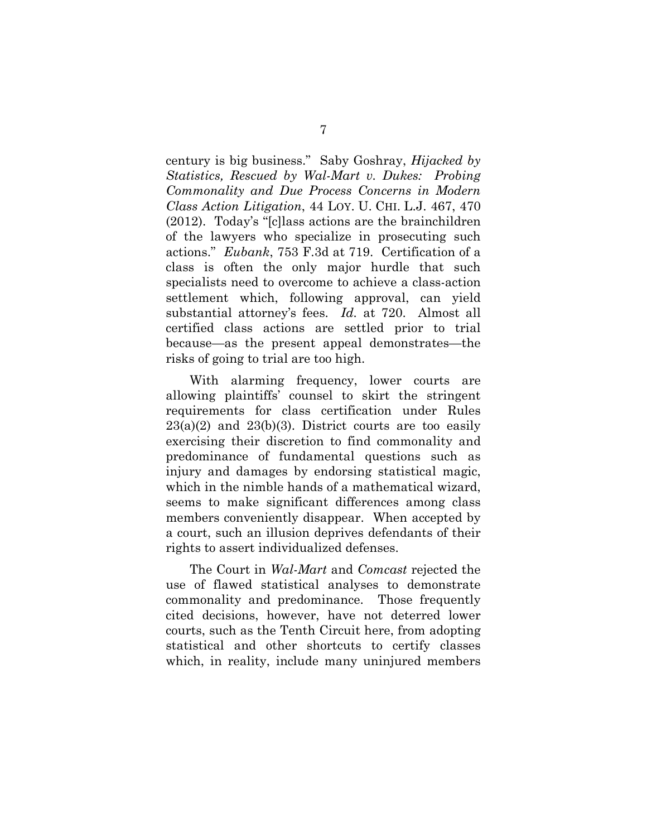<span id="page-12-0"></span>century is big business." Saby Goshray, *Hijacked by Statistics, Rescued by Wal-Mart v. Dukes: Probing Commonality and Due Process Concerns in Modern Class Action Litigation*, 44 LOY. U. CHI. L.J. 467, 470 (2012). Today's "[c]lass actions are the brainchildren of the lawyers who specialize in prosecuting such actions." *Eubank*, 753 F.3d at 719. Certification of a class is often the only major hurdle that such specialists need to overcome to achieve a class-action settlement which, following approval, can yield substantial attorney's fees. *Id.* at 720. Almost all certified class actions are settled prior to trial because—as the present appeal demonstrates—the risks of going to trial are too high.

With alarming frequency, lower courts are allowing plaintiffs' counsel to skirt the stringent requirements for class certification under Rules  $23(a)(2)$  and  $23(b)(3)$ . District courts are too easily exercising their discretion to find commonality and predominance of fundamental questions such as injury and damages by endorsing statistical magic, which in the nimble hands of a mathematical wizard, seems to make significant differences among class members conveniently disappear. When accepted by a court, such an illusion deprives defendants of their rights to assert individualized defenses.

The Court in *Wal-Mart* and *Comcast* rejected the use of flawed statistical analyses to demonstrate commonality and predominance. Those frequently cited decisions, however, have not deterred lower courts, such as the Tenth Circuit here, from adopting statistical and other shortcuts to certify classes which, in reality, include many uninjured members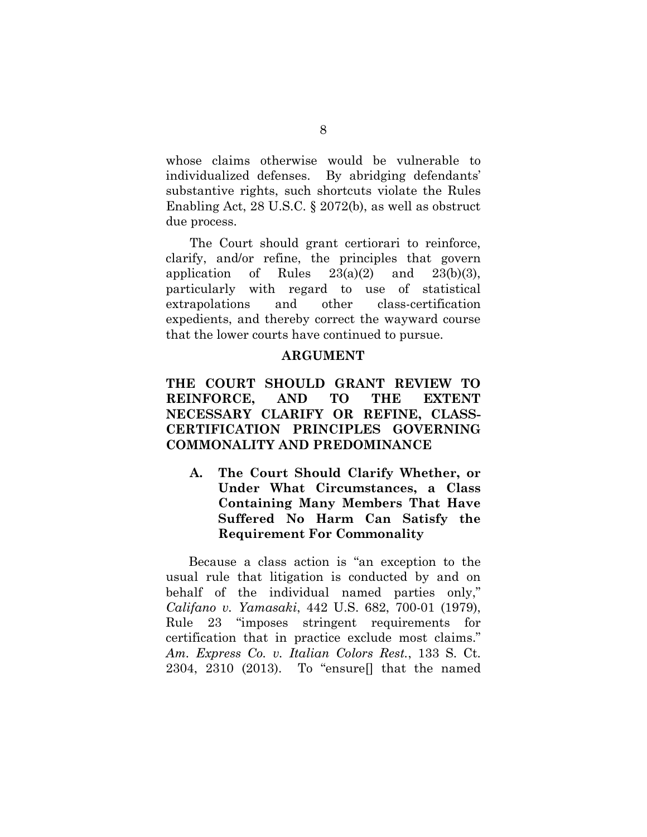whose claims otherwise would be vulnerable to individualized defenses. By abridging defendants' substantive rights, such shortcuts violate the Rules Enabling Act, 28 U.S.C. § 2072(b), as well as obstruct due process.

The Court should grant certiorari to reinforce, clarify, and/or refine, the principles that govern application of Rules  $23(a)(2)$  and  $23(b)(3)$ , particularly with regard to use of statistical extrapolations and other class-certification expedients, and thereby correct the wayward course that the lower courts have continued to pursue.

### <span id="page-13-5"></span><span id="page-13-0"></span>**ARGUMENT**

## <span id="page-13-1"></span>**THE COURT SHOULD GRANT REVIEW TO REINFORCE, AND TO THE EXTENT NECESSARY CLARIFY OR REFINE, CLASS-CERTIFICATION PRINCIPLES GOVERNING COMMONALITY AND PREDOMINANCE**

<span id="page-13-2"></span>**A. The Court Should Clarify Whether, or Under What Circumstances, a Class Containing Many Members That Have Suffered No Harm Can Satisfy the Requirement For Commonality**

<span id="page-13-4"></span><span id="page-13-3"></span>Because a class action is "an exception to the usual rule that litigation is conducted by and on behalf of the individual named parties only," *Califano v. Yamasaki*, 442 U.S. 682, 700-01 (1979), Rule 23 "imposes stringent requirements for certification that in practice exclude most claims." *Am. Express Co. v. Italian Colors Rest.*, 133 S. Ct. 2304, 2310 (2013). To "ensure[] that the named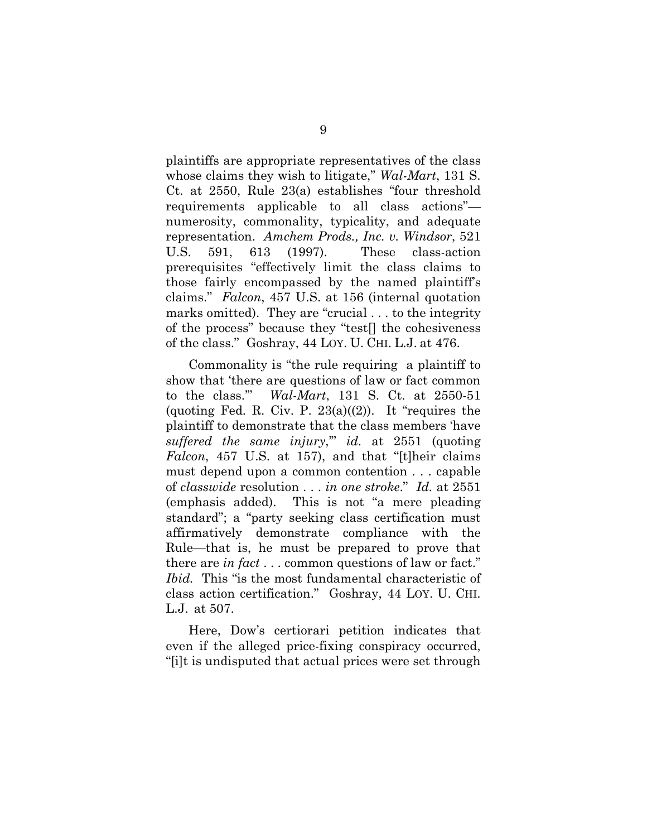<span id="page-14-0"></span>plaintiffs are appropriate representatives of the class whose claims they wish to litigate," *Wal-Mart*, 131 S. Ct. at 2550, Rule 23(a) establishes "four threshold requirements applicable to all class actions" numerosity, commonality, typicality, and adequate representation. *Amchem Prods., Inc. v. Windsor*, 521 U.S. 591, 613 (1997). These class-action prerequisites "effectively limit the class claims to those fairly encompassed by the named plaintiff's claims." *Falcon*, 457 U.S. at 156 (internal quotation marks omitted). They are "crucial . . . to the integrity of the process" because they "test[] the cohesiveness of the class." Goshray, 44 LOY. U. CHI. L.J. at 476.

<span id="page-14-1"></span>Commonality is "the rule requiring a plaintiff to show that 'there are questions of law or fact common to the class.'" *Wal-Mart*, 131 S. Ct. at 2550-51 (quoting Fed. R. Civ. P.  $23(a)(2)$ ). It "requires the plaintiff to demonstrate that the class members 'have *suffered the same injury*,'" *id.* at 2551 (quoting *Falcon*, 457 U.S. at 157), and that "[t]heir claims must depend upon a common contention . . . capable of *classwide* resolution . . . *in one stroke*." *Id.* at 2551 (emphasis added). This is not "a mere pleading standard"; a "party seeking class certification must affirmatively demonstrate compliance with the Rule—that is, he must be prepared to prove that there are *in fact* . . . common questions of law or fact." *Ibid.* This "is the most fundamental characteristic of class action certification." Goshray, 44 LOY. U. CHI. L.J. at 507.

Here, Dow's certiorari petition indicates that even if the alleged price-fixing conspiracy occurred, "[i]t is undisputed that actual prices were set through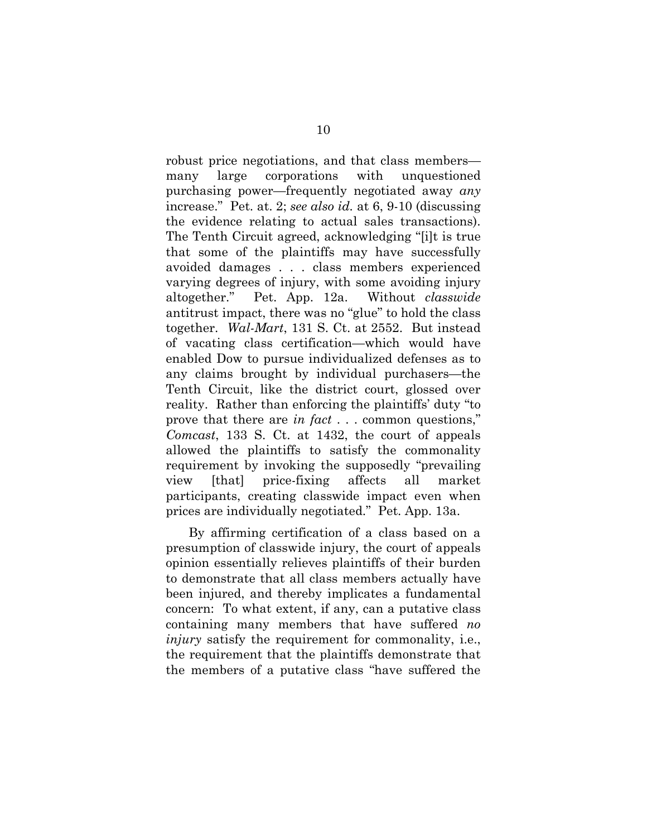robust price negotiations, and that class members many large corporations with unquestioned purchasing power—frequently negotiated away *any* increase." Pet. at. 2; *see also id.* at 6, 9-10 (discussing the evidence relating to actual sales transactions). The Tenth Circuit agreed, acknowledging "[i]t is true that some of the plaintiffs may have successfully avoided damages . . . class members experienced varying degrees of injury, with some avoiding injury altogether." Pet. App. 12a. Without *classwide* antitrust impact, there was no "glue" to hold the class together. *Wal-Mart*, 131 S. Ct. at 2552. But instead of vacating class certification—which would have enabled Dow to pursue individualized defenses as to any claims brought by individual purchasers—the Tenth Circuit, like the district court, glossed over reality. Rather than enforcing the plaintiffs' duty "to prove that there are *in fact* . . . common questions," *Comcast*, 133 S. Ct. at 1432, the court of appeals allowed the plaintiffs to satisfy the commonality requirement by invoking the supposedly "prevailing view [that] price-fixing affects all market participants, creating classwide impact even when prices are individually negotiated." Pet. App. 13a.

By affirming certification of a class based on a presumption of classwide injury, the court of appeals opinion essentially relieves plaintiffs of their burden to demonstrate that all class members actually have been injured, and thereby implicates a fundamental concern: To what extent, if any, can a putative class containing many members that have suffered *no injury* satisfy the requirement for commonality, i.e., the requirement that the plaintiffs demonstrate that the members of a putative class "have suffered the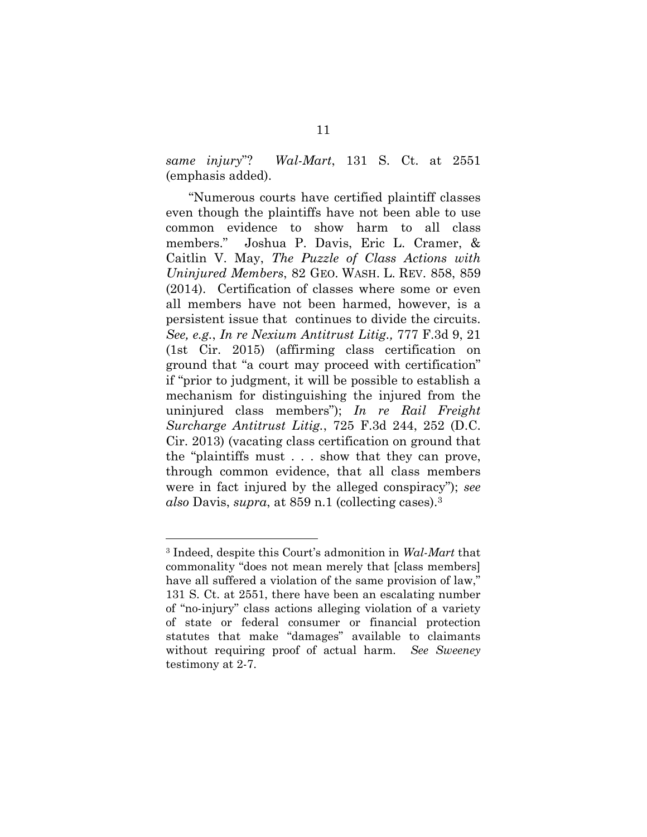*same injury*"? *Wal-Mart*, 131 S. Ct. at 2551 (emphasis added).

<span id="page-16-2"></span><span id="page-16-0"></span>"Numerous courts have certified plaintiff classes even though the plaintiffs have not been able to use common evidence to show harm to all class members." Joshua P. Davis, Eric L. Cramer, & Caitlin V. May, *The Puzzle of Class Actions with Uninjured Members*, 82 GEO. WASH. L. REV. 858, 859 (2014). Certification of classes where some or even all members have not been harmed, however, is a persistent issue that continues to divide the circuits. *See, e.g.*, *In re Nexium Antitrust Litig.,* 777 F.3d 9, 21 (1st Cir. 2015) (affirming class certification on ground that "a court may proceed with certification" if "prior to judgment, it will be possible to establish a mechanism for distinguishing the injured from the uninjured class members"); *In re Rail Freight Surcharge Antitrust Litig.*, 725 F.3d 244, 252 (D.C. Cir. 2013) (vacating class certification on ground that the "plaintiffs must . . . show that they can prove, through common evidence, that all class members were in fact injured by the alleged conspiracy"); *see also* Davis, *supra*, at 859 n.1 (collecting cases).[3](#page-16-3)

<span id="page-16-3"></span><span id="page-16-1"></span><sup>3</sup> Indeed, despite this Court's admonition in *Wal-Mart* that commonality "does not mean merely that [class members] have all suffered a violation of the same provision of law," 131 S. Ct. at 2551, there have been an escalating number of "no-injury" class actions alleging violation of a variety of state or federal consumer or financial protection statutes that make "damages" available to claimants without requiring proof of actual harm. *See Sweeney* testimony at 2-7.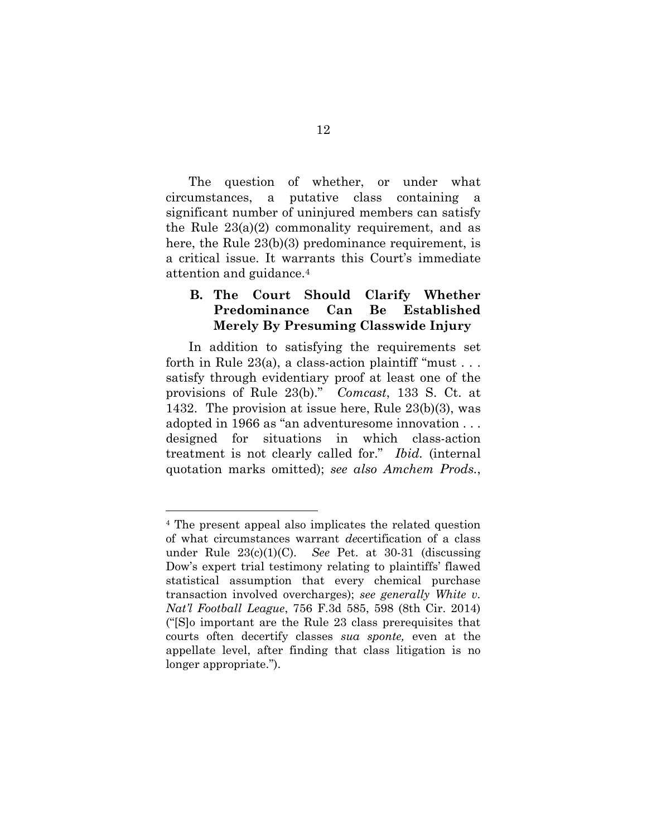The question of whether, or under what circumstances, a putative class containing a significant number of uninjured members can satisfy the Rule 23(a)(2) commonality requirement, and as here, the Rule 23(b)(3) predominance requirement, is a critical issue. It warrants this Court's immediate attention and guidance.[4](#page-17-3)

### <span id="page-17-0"></span>**B. The Court Should Clarify Whether Predominance Can Be Established Merely By Presuming Classwide Injury**

In addition to satisfying the requirements set forth in Rule  $23(a)$ , a class-action plaintiff "must... satisfy through evidentiary proof at least one of the provisions of Rule 23(b)." *Comcast*, 133 S. Ct. at 1432. The provision at issue here, Rule 23(b)(3), was adopted in 1966 as "an adventuresome innovation . . . designed for situations in which class-action treatment is not clearly called for." *Ibid.* (internal quotation marks omitted); *see also Amchem Prods.*,

<span id="page-17-3"></span><span id="page-17-2"></span><span id="page-17-1"></span><sup>4</sup> The present appeal also implicates the related question of what circumstances warrant *de*certification of a class under Rule 23(c)(1)(C). *See* Pet. at 30-31 (discussing Dow's expert trial testimony relating to plaintiffs' flawed statistical assumption that every chemical purchase transaction involved overcharges); *see generally White v. Nat'l Football League*, 756 F.3d 585, 598 (8th Cir. 2014) ("[S]o important are the Rule 23 class prerequisites that courts often decertify classes *sua sponte,* even at the appellate level, after finding that class litigation is no longer appropriate.").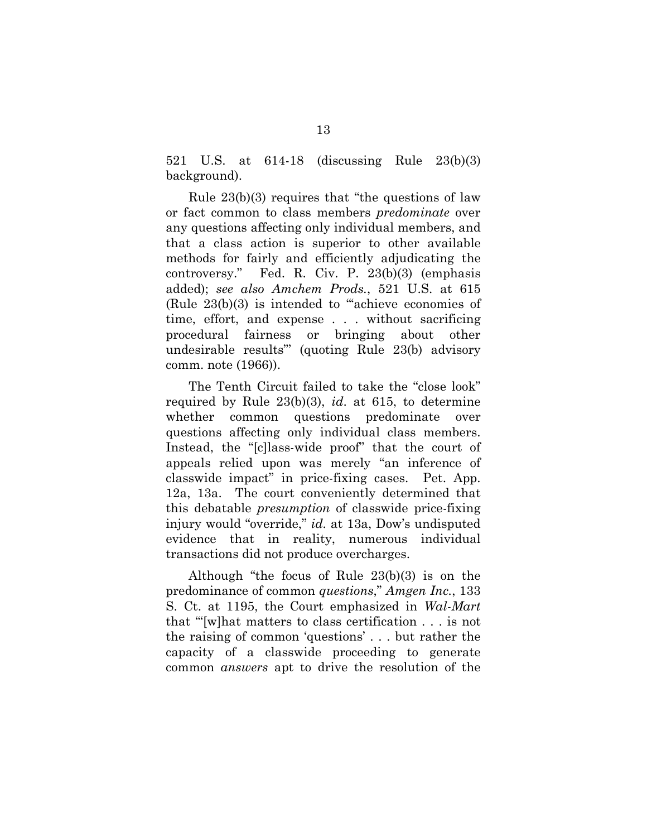521 U.S. at 614-18 (discussing Rule 23(b)(3) background).

Rule 23(b)(3) requires that "the questions of law or fact common to class members *predominate* over any questions affecting only individual members, and that a class action is superior to other available methods for fairly and efficiently adjudicating the controversy." Fed. R. Civ. P. 23(b)(3) (emphasis added); *see also Amchem Prods.*, 521 U.S. at 615 (Rule 23(b)(3) is intended to "'achieve economies of time, effort, and expense . . . without sacrificing procedural fairness or bringing about other undesirable results"' (quoting Rule 23(b) advisory comm. note (1966)).

<span id="page-18-0"></span>The Tenth Circuit failed to take the "close look" required by Rule 23(b)(3), *id*. at 615, to determine whether common questions predominate over questions affecting only individual class members. Instead, the "[c]lass-wide proof" that the court of appeals relied upon was merely "an inference of classwide impact" in price-fixing cases. Pet. App. 12a, 13a. The court conveniently determined that this debatable *presumption* of classwide price-fixing injury would "override," *id.* at 13a, Dow's undisputed evidence that in reality, numerous individual transactions did not produce overcharges.

<span id="page-18-1"></span>Although "the focus of Rule 23(b)(3) is on the predominance of common *questions*," *Amgen Inc.*, 133 S. Ct. at 1195, the Court emphasized in *Wal-Mart* that "'[w]hat matters to class certification . . . is not the raising of common 'questions' . . . but rather the capacity of a classwide proceeding to generate common *answers* apt to drive the resolution of the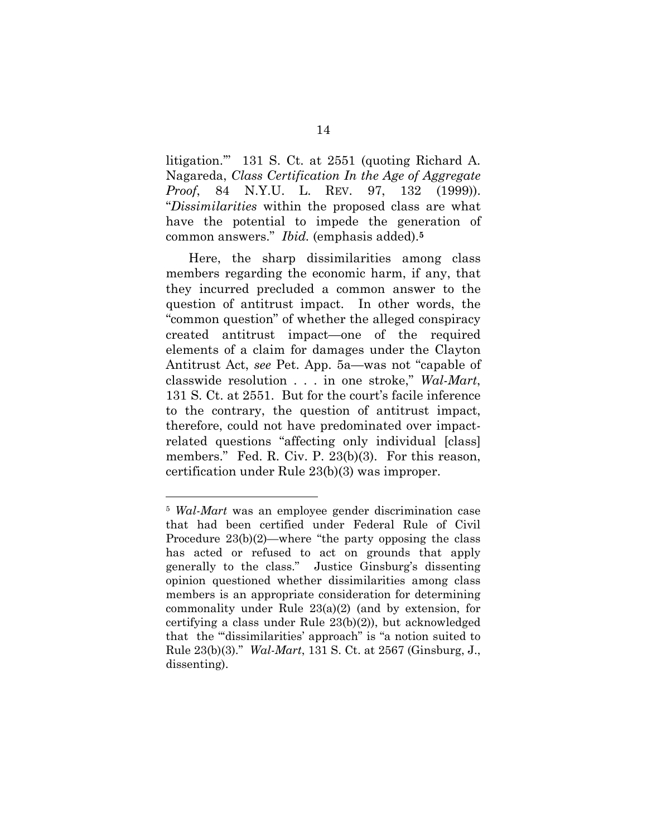<span id="page-19-1"></span>litigation.'" 131 S. Ct. at 2551 (quoting Richard A. Nagareda, *Class Certification In the Age of Aggregate Proof*, 84 N.Y.U. L. REV. 97, 132 (1999)). "*Dissimilarities* within the proposed class are what have the potential to impede the generation of common answers." *Ibid.* (emphasis added).**[5](#page-19-2)**

Here, the sharp dissimilarities among class members regarding the economic harm, if any, that they incurred precluded a common answer to the question of antitrust impact. In other words, the "common question" of whether the alleged conspiracy created antitrust impact—one of the required elements of a claim for damages under the Clayton Antitrust Act, *see* Pet. App. 5a—was not "capable of classwide resolution . . . in one stroke," *Wal-Mart*, 131 S. Ct. at 2551. But for the court's facile inference to the contrary, the question of antitrust impact, therefore, could not have predominated over impactrelated questions "affecting only individual [class] members." Fed. R. Civ. P. 23(b)(3). For this reason, certification under Rule 23(b)(3) was improper.

<span id="page-19-2"></span><span id="page-19-0"></span><sup>5</sup> *Wal-Mart* was an employee gender discrimination case that had been certified under Federal Rule of Civil Procedure 23(b)(2)—where "the party opposing the class has acted or refused to act on grounds that apply generally to the class." Justice Ginsburg's dissenting opinion questioned whether dissimilarities among class members is an appropriate consideration for determining commonality under Rule 23(a)(2) (and by extension, for certifying a class under Rule 23(b)(2)), but acknowledged that the "'dissimilarities' approach" is "a notion suited to Rule 23(b)(3)." *Wal-Mart*, 131 S. Ct. at 2567 (Ginsburg, J., dissenting).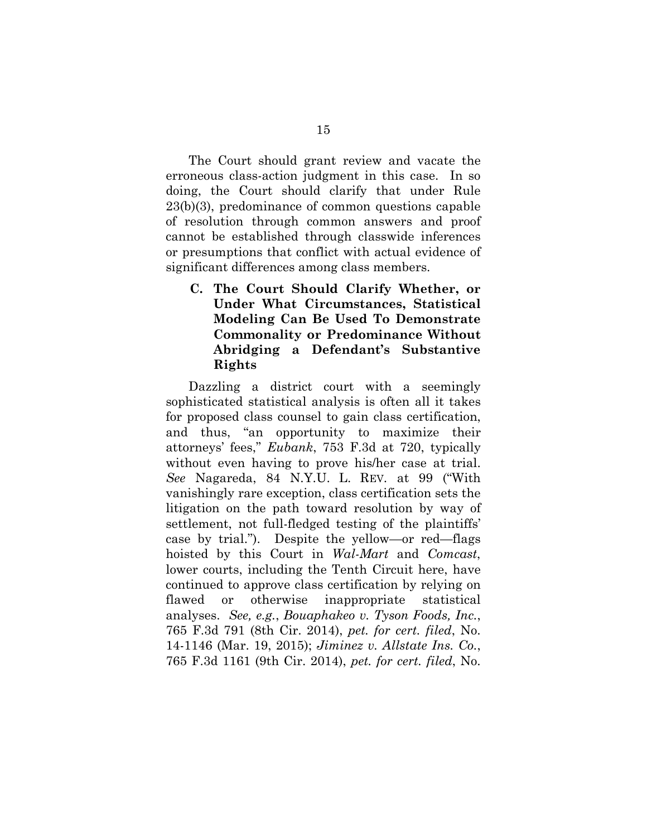The Court should grant review and vacate the erroneous class-action judgment in this case. In so doing, the Court should clarify that under Rule 23(b)(3), predominance of common questions capable of resolution through common answers and proof cannot be established through classwide inferences or presumptions that conflict with actual evidence of significant differences among class members.

<span id="page-20-0"></span>**C. The Court Should Clarify Whether, or Under What Circumstances, Statistical Modeling Can Be Used To Demonstrate Commonality or Predominance Without Abridging a Defendant's Substantive Rights**

<span id="page-20-2"></span><span id="page-20-1"></span>Dazzling a district court with a seemingly sophisticated statistical analysis is often all it takes for proposed class counsel to gain class certification, and thus, "an opportunity to maximize their attorneys' fees," *Eubank*, 753 F.3d at 720, typically without even having to prove his/her case at trial. *See* Nagareda, 84 N.Y.U. L. REV. at 99 ("With vanishingly rare exception, class certification sets the litigation on the path toward resolution by way of settlement, not full-fledged testing of the plaintiffs' case by trial."). Despite the yellow—or red—flags hoisted by this Court in *Wal-Mart* and *Comcast*, lower courts, including the Tenth Circuit here, have continued to approve class certification by relying on flawed or otherwise inappropriate statistical analyses. *See, e.g.*, *Bouaphakeo v. Tyson Foods, Inc.*, 765 F.3d 791 (8th Cir. 2014), *pet. for cert. filed*, No. 14-1146 (Mar. 19, 2015); *Jiminez v. Allstate Ins. Co.*, 765 F.3d 1161 (9th Cir. 2014), *pet. for cert. filed*, No.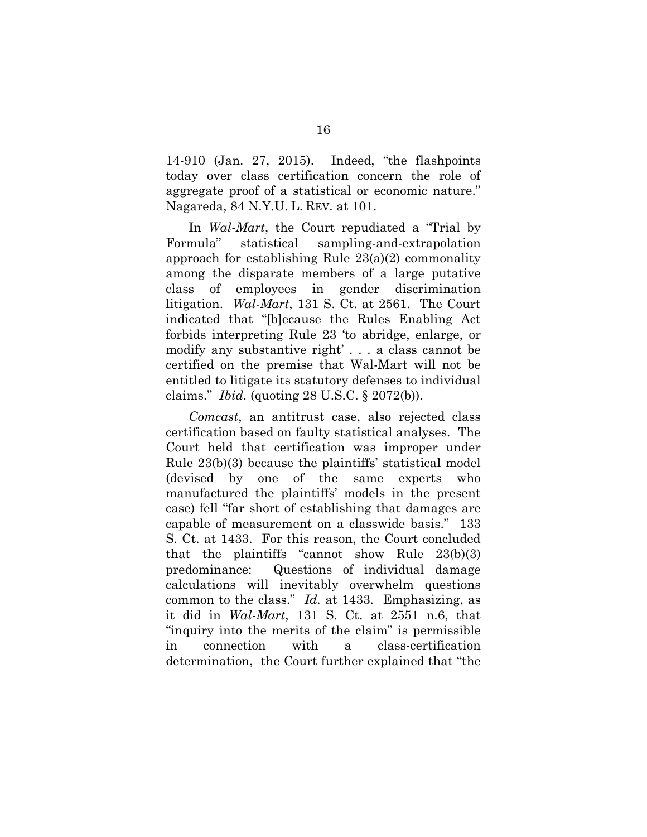14-910 (Jan. 27, 2015). Indeed, "the flashpoints today over class certification concern the role of aggregate proof of a statistical or economic nature." Nagareda, 84 N.Y.U. L. REV. at 101.

In *Wal-Mart*, the Court repudiated a "Trial by Formula" statistical sampling-and-extrapolation approach for establishing Rule 23(a)(2) commonality among the disparate members of a large putative class of employees in gender discrimination litigation. *Wal-Mart*, 131 S. Ct. at 2561. The Court indicated that "[b]ecause the Rules Enabling Act forbids interpreting Rule 23 'to abridge, enlarge, or modify any substantive right' . . . a class cannot be certified on the premise that Wal-Mart will not be entitled to litigate its statutory defenses to individual claims." *Ibid.* (quoting 28 U.S.C. § 2072(b)).

*Comcast*, an antitrust case, also rejected class certification based on faulty statistical analyses. The Court held that certification was improper under Rule 23(b)(3) because the plaintiffs' statistical model (devised by one of the same experts who manufactured the plaintiffs' models in the present case) fell "far short of establishing that damages are capable of measurement on a classwide basis." 133 S. Ct. at 1433. For this reason, the Court concluded that the plaintiffs "cannot show Rule 23(b)(3) predominance: Questions of individual damage calculations will inevitably overwhelm questions common to the class." *Id.* at 1433. Emphasizing, as it did in *Wal-Mart*, 131 S. Ct. at 2551 n.6, that "inquiry into the merits of the claim" is permissible in connection with a class-certification determination, the Court further explained that "the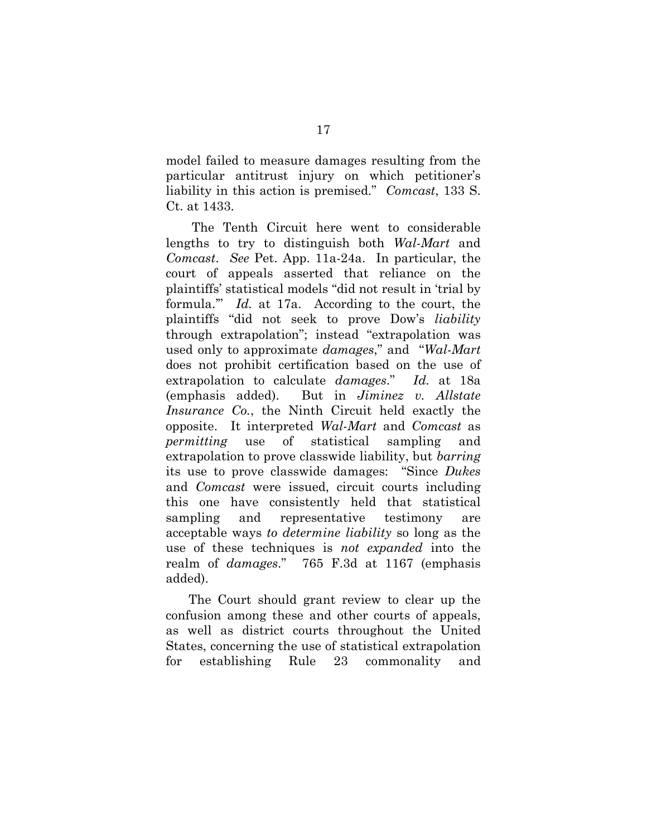model failed to measure damages resulting from the particular antitrust injury on which petitioner's liability in this action is premised." *Comcast*, 133 S. Ct. at 1433.

The Tenth Circuit here went to considerable lengths to try to distinguish both *Wal-Mart* and *Comcast*. *See* Pet. App. 11a-24a. In particular, the court of appeals asserted that reliance on the plaintiffs' statistical models "did not result in 'trial by formula.'" *Id.* at 17a. According to the court, the plaintiffs "did not seek to prove Dow's *liability* through extrapolation"; instead "extrapolation was used only to approximate *damages*," and "*Wal-Mart* does not prohibit certification based on the use of extrapolation to calculate *damages*." *Id.* at 18a (emphasis added). But in *Jiminez v. Allstate Insurance Co.*, the Ninth Circuit held exactly the opposite. It interpreted *Wal-Mart* and *Comcast* as *permitting* use of statistical sampling and extrapolation to prove classwide liability, but *barring* its use to prove classwide damages: "Since *Dukes* and *Comcast* were issued, circuit courts including this one have consistently held that statistical sampling and representative testimony are acceptable ways *to determine liability* so long as the use of these techniques is *not expanded* into the realm of *damages*." 765 F.3d at 1167 (emphasis added).

<span id="page-22-0"></span>The Court should grant review to clear up the confusion among these and other courts of appeals, as well as district courts throughout the United States, concerning the use of statistical extrapolation for establishing Rule 23 commonality and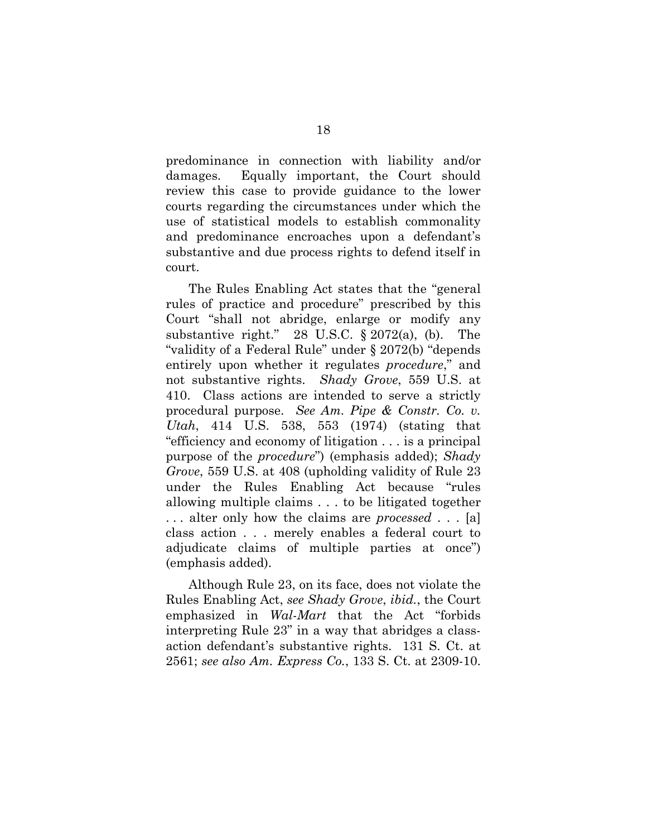predominance in connection with liability and/or damages. Equally important, the Court should review this case to provide guidance to the lower courts regarding the circumstances under which the use of statistical models to establish commonality and predominance encroaches upon a defendant's substantive and due process rights to defend itself in court.

<span id="page-23-4"></span><span id="page-23-3"></span><span id="page-23-2"></span><span id="page-23-1"></span>The Rules Enabling Act states that the "general rules of practice and procedure" prescribed by this Court "shall not abridge, enlarge or modify any substantive right." 28 U.S.C. § 2072(a), (b). The "validity of a Federal Rule" under § 2072(b) "depends entirely upon whether it regulates *procedure*," and not substantive rights. *Shady Grove*, 559 U.S. at 410. Class actions are intended to serve a strictly procedural purpose. *See Am. Pipe & Constr. Co. v. Utah*, 414 U.S. 538, 553 (1974) (stating that "efficiency and economy of litigation . . . is a principal purpose of the *procedure*") (emphasis added); *Shady Grove*, 559 U.S. at 408 (upholding validity of Rule 23 under the Rules Enabling Act because "rules allowing multiple claims . . . to be litigated together . . . alter only how the claims are *processed* . . . [a] class action . . . merely enables a federal court to adjudicate claims of multiple parties at once") (emphasis added).

<span id="page-23-0"></span>Although Rule 23, on its face, does not violate the Rules Enabling Act, *see Shady Grove*, *ibid.*, the Court emphasized in *Wal-Mart* that the Act "forbids interpreting Rule 23" in a way that abridges a classaction defendant's substantive rights. 131 S. Ct. at 2561; *see also Am. Express Co.*, 133 S. Ct. at 2309-10.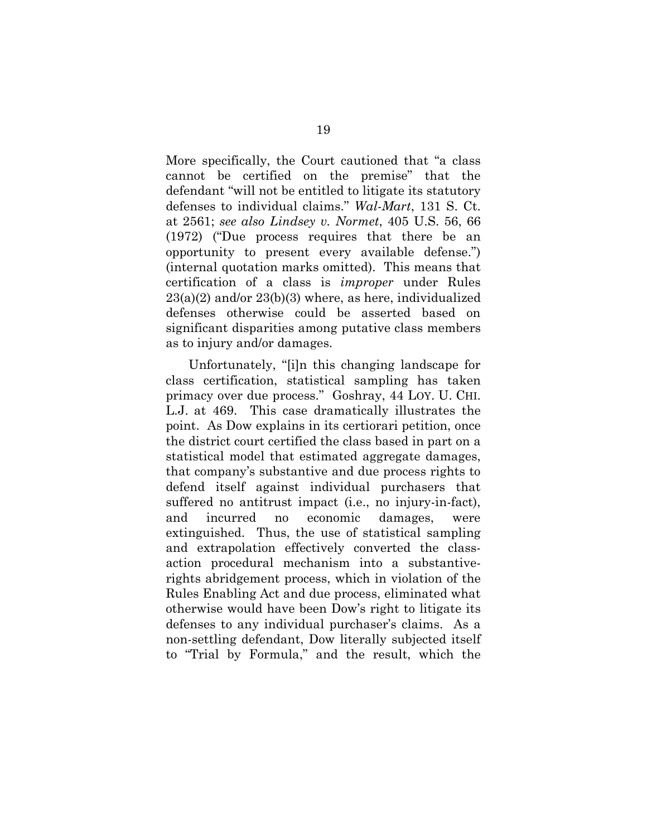<span id="page-24-0"></span>More specifically, the Court cautioned that "a class cannot be certified on the premise" that the defendant "will not be entitled to litigate its statutory defenses to individual claims." *Wal-Mart*, 131 S. Ct. at 2561; *see also Lindsey v. Normet*, 405 U.S. 56, 66 (1972) ("Due process requires that there be an opportunity to present every available defense.") (internal quotation marks omitted). This means that certification of a class is *improper* under Rules  $23(a)(2)$  and/or  $23(b)(3)$  where, as here, individualized defenses otherwise could be asserted based on significant disparities among putative class members as to injury and/or damages.

Unfortunately, "[i]n this changing landscape for class certification, statistical sampling has taken primacy over due process." Goshray, 44 LOY. U. CHI. L.J. at 469. This case dramatically illustrates the point. As Dow explains in its certiorari petition, once the district court certified the class based in part on a statistical model that estimated aggregate damages, that company's substantive and due process rights to defend itself against individual purchasers that suffered no antitrust impact (i.e., no injury-in-fact), and incurred no economic damages, were extinguished. Thus, the use of statistical sampling and extrapolation effectively converted the classaction procedural mechanism into a substantiverights abridgement process, which in violation of the Rules Enabling Act and due process, eliminated what otherwise would have been Dow's right to litigate its defenses to any individual purchaser's claims. As a non-settling defendant, Dow literally subjected itself to "Trial by Formula," and the result, which the